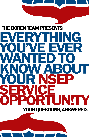### **EVERYTHING** YOU'VE EVER WANTED TO KNOW ABOUT YOUR NSEP SERVICE OPPORTUNITY YOUR QUESTIONS, ANSWERED. THE BOREN TEAM PRESENTS: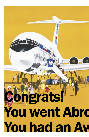# $\overline{a}$ ngrats! You went Abro You had an Aw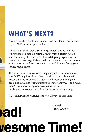### **WHAT'S NEXT?**

Now it's time to start thinking about how you plan on making use of your NSEP service opportunity.

All Boren awardees sign a Service Agreement stating that they will work to help uphold national security for a certain period after they complete their Boren-funded degree program. We have developed a how-to guidebook to help you understand the options available to you and to assist you in successfully completing your service requirement.

This guidebook aims to answer frequently asked questions about what NSEP requires of awardees, as well as to provide you with career-building resources. As such, it will cover qualifying jobs, deadlines, NSEPnet, hiring authorities, important vocab, and much more! If you have any questions or concerns that aren't covered inside, you can contact our office at nsep@nsep.gov for help.

We look forward to working with you. Happy job searching!

ad!

Sincerely, *The NSEP office*

## **vesome Time!**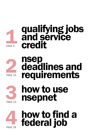

### **1 qualifying jobs<br>and service<br>credit** and service credit



**2 nsep<br>2 deadl<br>required** deadlines and requirements



# how to use<br>nsepnet



how to find a<br>federal job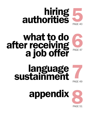

### what to do after receiving a job offer PAGE 47





PAGE 47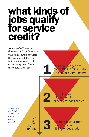### what kinds of jobs qualify for service credit?

As a post-2008 awardee, the terms and conditions of your NSEP award stipulate that your search for jobs in fulfillment of your service opportunity take place in opportunity take place in<br>three tiers. These are:

four priority agencies (DoD, DHS, DoS, and the Intelligence Community)

*More on the Job Search History Log can be found on page 21.*

in des cen<br>ding order of priority 2

3

federal positions with national security responsibilities

positions in education related to your NSEP-funded study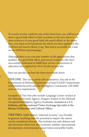To receive service credit for one of the lower tiers, you will have to show a good-faith effort to find a position in the tiers above it. To show evidence of your good-faith job search efforts in the above tiers, you must record positions for which you have applied in the NSEPnet Job Search History Log. This tool is accessible via a link on the NSEPnet.org homepage.

Although there is no concrete number of job applications that qualifies as a good faith effort, past award recipients who have successfully petitioned to fulfill their service requirement in education have applied for 10 to 20 jobs in each tier.

Here are specifics on how the three tiers break down:

TIER ONE: This tier is pretty self-explanatory. Any job in the Department of Defense, Department of State/USAID, Department of Homeland Security and the Intelligence Community will fulfill your service requirement.

Examples of Tier One jobs include Language Center Analyst at the National Security Agency, Imagery Analyst at the National Geospatial Intelligence Agency, Economic Assistant at a U.S. Embassy, and International Visitor Exchange Specialist at the Bureau of Education and Cultural Affairs.

TIER TWO: NSEP defines "national security" very broadly. In general, anything with the potential to impact the nation can be considered relevant. This includes not only defense and anti-terrorism efforts but also economic stability, international development, environmental conservation and public health.

7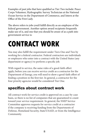Examples of past jobs that have qualified as Tier Two include: Peace Corps Volunteer, Hydrographic Survey Technician at the National Ocean Service in the Department of Commerce, and Intern at the Office of the First Lady.

The above refers to jobs you'd fulfill directly as an employee of the federal government. Another option award recipients frequently make use of is, and one that you should be aware of as a path into government service is:

### **CONTRACT WORK**

You may also fulfill the requirement under Tiers One and Two by working for a federal contractor. Federal contractors are individuals or employers who enter into a contract with the United States (any department or agency) to perform a specific job.

With regard to service, the same rules of a good-faith effort apply; before you can receive service credit as a contractor for the Department of Energy, you will need to show a good-faith effort of finding a position in the first tier. In general, a contractor for the four priority agencies would be considered Tier One.

#### specifics about contract work

All contract work for service credit is approved on a case-by-case basis, so there is no list of companies that are guaranteed to count toward your service requirement. In general, the NSEP Service Committee approves requests for service credit at a contractor if the company is receiving funding from the Departments of Defense, Homeland Security, State/USAID, or from the Intelligence Community.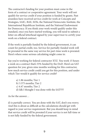The contractor's funding for your position must come in the form of a contract or cooperative agreement. Your work will not qualify for service credit if your position is funded by grants. Past awardees have received service credit for work at Concepts and Strategies, SAIC, BAE, SOSi, the National Democratic Institute, the International Republican Institute, and the National Endowment for Democracy. If you think your work would qualify under this standard, once you have started working, you will need to submit a letter on official letterhead signed by your supervisor to certify your work on a federal contract.

If the work is partially funded by the federal government, it can count for partial credit, too. Service for partially-funded work will be prorated in the same way service for part-time work is prorated. Here's where some serious calculating might come in:

Say you're working for federal contractor XYZ. You work 15 hours a week on a contract that's 55% funded by the DoD. Here's an SAT question for you: given nine months working for this contractor, how much service credit could you get for this position, and under which Tier would it qualify for service credit?

> a) 1.86 months; Tier 1 b) 3.375 months; Tier 2 c) 4.47 months; Tier 2 d) Idk I thought I was done with the SAT?!?!

As for the answer…

d) is partially correct. You are done with the SAT, don't you worry. And this is about as difficult as the calculations should get with regard to your service requirement. But you should keep in mind that service credit will be prorated if your service is not full-time or is not fully funded by the federal government.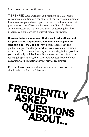(The correct answer, for the record, is a.)

TIER THREE: Last, work that you complete at a U.S.-based educational instiution can count toward your service requirement. Past award recipients have reported work in traditional academic positions, such as a Research Assistant or Adjunct Professor at universities, as well as non-traditional education jobs, like a program coordinator with a study abroad organization.

However, before you request that work in education count for your service requirement, you must have applied for vacancies in Tiers One and Two. For instance, following graduation, you could begin working as an assistant professor at a university. At the same time as you are working in that position, you could apply to federal jobs. If you were unsuccessful in your federal job applications, then you could request that all of your education work count toward your service requirement.

If you still have questions about the education provision, you should take a look at the following:

## FREQUENTLY **ASK** UESTIONS<br>ABOUT...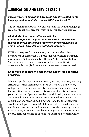#### **...EDUCATION AND SERVICE CREDIT**

#### *does my work in education have to be directly related to the language and area studied on my NSEP scholarship?*

The position must deal directly and substantially with the language, region, or functional area for which NSEP funded your studies.

#### *what kinds of documentation should I be prepared to provide as proof that my work in education is related to my NSEP-funded study or to another language or area in which I have demonstrated competency?*

NSEP may request documentation, such as published class descriptions or class syllabi, as proof that your work in education deals directly and substantially with your NSEP-funded studies. You are welcome to attach this information to your Service Agreement Report (SAR) when you are requesting service credit.

#### *what types of education positions will satisfy the education provision?*

Work as a professor, associate professor, teacher, volunteer, teaching assistant, research assistant, etc., at an accredited US university, college, or K-12 school may satisfy the service requirement under the conditions set forth above. This work must be distinct from your coursework if you are a student. Additionally, you may receive service credit for administrative positions in education (such as coordinator of a study abroad program related to the geographic area for which you received NSEP funding) if you can demonstrate a sufficiently strong connection to an appropriate language or area. In such cases, NSEP will consider granting service credit on a caseby-case basis depending on specific job duties and responsibilities.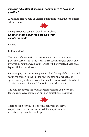#### *does the educational position I secure have to be a paid position?*

A position can be paid or unpaid but must meet all the conditions set forth above.



One question we get a lot (at all tier levels) is *whether or not qualifying part-time work counts for credit.* 

Does it?

Indeed it does!

The only difference with part-time work is that it counts as part-time service. So, if the work you're submitting for credit only involves 20 hours a week, your service will be prorated based on a typical 40 hour workweek.

For example, if an award recipient worked for a qualifying national security position in the FBI for four months on a schedule of approximately 25 hours/week, they could receive credit at a rate of 62.5%, for a total of about 2.5 months of service credit.

The rule about part-time work applies whether you work as a federal employee, contractor, or in an educational positions.



That's about it for which jobs will qualify for the service requirement. For any other job-related inquiries, we at nsep@nsep.gov are here to help!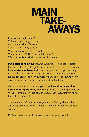### MAIN TAKE- AWAYS

Internships might count! Volunteer work might count! Part-time work might count! Contract work might count! Work in education might count! Work in the DoC, DoE, etc., might count! Work in the four priority areas definitely counts!

*main* main **take-away**: You gotta submit SARs to get credit for these activites. You also gotta keep track of your federal job search. First, **make sure to record** how your job search is progressing in the Job Search History Log. That way, if you need to petition for service credit for work in positions outside of the four priority areas, you will have proof of your good-faith effort.

Once you've started your job, you'll need to **submit a service** agreement report (SAR) requesting service credit. Depending on which Tier the job would qualify under, each SAR submission will look a little different.

Are you confused now because you're wondering what the heck a SAR is? Or because you still don't know how to record your job search?

No fear, Shakespeare. The next section's got you covered.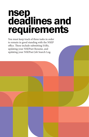### nsep deadlines and requirements

You must keep track of three tasks in order to remain in good standing with the NSEP office. These include submitting SARs, updating your NSEPnet Resume, and updating your NSEPnet Job Search Log.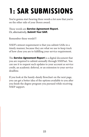### **1: SAR SUBMISSIONS**

You're gonna start hearing three words a lot now that you're on the other side of your Boren award.

#### These words are *Service Agreement Report.* Or, alternatively, *Submit Your SAR.*

Remember these words!!!

NSEP's utmost requirement is that you submit SARs in a timely manner, because they are what we use to keep track of how close you are to fulfilling your service requirement.

The *Service Agreement Report* is a digital document that you are required to submit annually through NSEPnet. You can use it to request such updates to your account as service credit, an academic deferral, or an extension to your service deadline.

If you look at the handy-dandy flowchart on the next page, you can get a better idea of the options available to you after you finish the degree program you pursued while receiving NSEP support.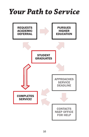### *Your Path to Service*

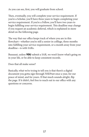As you can see, first, you will graduate from school.

Then, eventually, you will complete your service requirement. If you're a Scholar, you'll have three years to begin completing your service requirement. If you're a Fellow, you'll have two years to begin fulfilling your service requirement. This deadline may change if you request an academic deferral, which is explained in more detail on the following page.

The way that our office keeps track of where you are in this flowchart—whether you're still a senior in colllege, three months into fulfilling your service requirement, or a month away from your deadline—is with SARs.

Buuuuut, unless YOU submit a SAR, we won't know what's going on in your life, or be able to keep consistent records.

Does that all make sense?

Basically, what we're trying to tell you is that there's a digital document you gotta sign through NSEPnet once a year, for our peace of mind, and for yours. If that much sounds alright, flip the page. If it didn't, feel free to reach out to our office with any questions or concerns.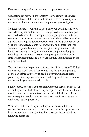Here are more specifics concerning your path to service:

Graduating is pretty self-explanatory. Completing your service means you have fulfilled your obligations to NSEP; passing your service deadline means you are delinquent on your obligation.

To defer your service means to postpone your deadline while you are furthering your education. To be approved for a deferral, you will need to be enrolled in a degree-seeking program at half-time status or more. You can request an academic deferral by submitting a SAR, indicating the deferral option, and attaching some proof of your enrollment (e.g., unofficial transcripts or a screenshot with an updated graduation date). Similarly, if your graduation date for any of the degree programs you choose to pursue changes, including the one you're currently on, just upload a SAR with similar documentation and a new graduation date indicated in the appropriate field.

You can also opt to repay your award at any time in lieu of fulfilling your service requirement. You can do this the day you graduate or the day before your service deadline passes, whatever suits your fancy. Your repayment amount will be prorated based on any service credit you have already received.

Finally, please note that you can complete your service in parts. For example, you can start off working on a government contract for six months, and, once that contract has ended, fulfill the rest of your service requirement by volunteering part-time for two years in a qualifying teaching position.

Whichever path that it is you end up taking to complete your service, just remember that in order to get credit for a position, you have to submit your SAR(s). For this reason, we've included the following reminder: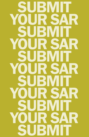$\mathbf{p}$ SUBMIT YOUR SAR SUBMIT YOUR SAR SUBMIT YOUR SAR SUBMIT YOUR SAR SUBMIT YOUR SAR SUBMIT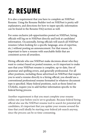### **2: RESUME**

It is also a requirement that you have to complete an NSEPnet Resume. Using the Resume Builder tool on NSEPnet is pretty selfexplanatory, and directions for how to input specific information can be found in the Resume FAQ section as well.

For some exclusive job opportunities posted on NSEPnet, hiring officials will log on to NSEPnet directly and look at candidates' information. Occasionally, hiring officials will search all NSEPnet resumes (when looking for a specific language, area of expertise, etc.) without posting an announcement. For that reason, it's important to have a resume with searchable fields that are consistent across all awardees.

Hiring officials who use NSEPnet make decisions about who they want to contact based on posted resumes, so it's important to make sure that your NSEPnet resume is complete, up-to-date, free of grammar and spelling errors, and generally professional. For all other positions, including those advertised on NSEPnet that require you to send a resume directly to a hiring official, you should use a conventional professional resume formatted in whatever document type is specified. Many federal positions, such as those listed on USAJobs, require you to add further information specific to the federal hiring process.

Another requirement is that you must complete your resume online one year before you're set to graduate. Because federal hiring official also use the NSEPnet resume tool to search for potential job candidates, it's important that you update your resume around the time that you'd ideally be starting your federal job search anyway, since the process can be so time-consuming.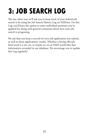### **3: JOB SEARCH LOG**

The one other way we'll ask you to keep track of your federal job search is by using the Job Search History Log on NSEPnet. On this Log, you'll have the option to enter individual positions you've applied for, along with general comments about how your job search is progessing.

We ask that you keep a record of every job application you submit, as well as those applications' results. Whether a hiring official's final word is a yes, no, or maybe so, we at NSEP would like that information recorded in our database. We encourage you to update this Log regularly!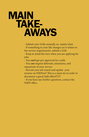### MAIN TAKE- AWAYS

- Submit your SARs annually no. matter.what.

- If something in your life changes (as it relates to the service requirement), submit a SAR

- Keep in mind the tiers when you are applying for jobs

- You *can't* get pre-approved for credit

- You *can* request deferrals, extensions, and repayment of your service

- Record your job search and update your resume on NSEPnet! This is a must-do in order to document a good-faith effort!!!!!!!!

- If you have any further questions, contact the NSEP office.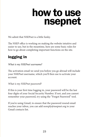### how to use nsepnet

We admit that NSEPnet is a little funky.

The NSEP office is working on making the website intuitive and easier to use, but in the meantime, here are some basic rules for how to go about completing important functions on the site.

#### logging in

#### *What is my NSEPnet username?*

The activation email we send you before you go abroad will include your NSEPnet username, which you'll then use to activate your account.

*What is my NSEPnet password?*

If this is your first time logging in, your password will be the last four digits of your Social Security Number. If not, and you cannot remember your password, try using the "Forgot Password" tool.

If you're using Gmail, to ensure that the password resend email reaches your inbox, you can add noreply@nsepnet.org to your Gmail contacts list.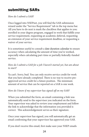#### submitting SARs

*How do I submit a SAR?*

Once logged into NSEPnet, you will find the SAR submission wizard under the "Service Requirement" tab in the top menu bar. All you have to do next is mark the checkbox that applies to you: enrolled in your degree program, engaged in work that fulfills your service requirement, requesting an academic deferral, requesting an extension of your service requirement deadline, or requesting a waiver of your service.

It is sometimes useful to consult a date duration calendar to ensure accuracy when calculating the amount of time you've worked, especially when calculating part-time or partially federally-funded service.

#### *How do I submit a SAR for a job I haven't started yet, but am about to start?*

Ya can't. Sorry, bud. You can only receive service credit for work that you have already completed. There is no way to receive preapproved service credit for a future position. The minimum amount of service that can be reported on a SAR is one week.

#### *How do I know if my supervisor has signed off on my SAR?*

When you submitted the form, an email containing a link was automatically send to the supervisor you indicated on the form. Your supervisor was asked to review your employment and follow the link to acknowledge that the information you provided is correct. This acknowledgement serves as their signature.

Once your supervisor has signed, you will automatically get an email confirming that your supervisor has approved your SAR.

If you don't receive this email, first make sure your NSEP emails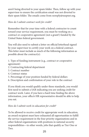aren't being diverted to your spam folder. Then, follow up with your supervisor to ensure the certification email was not diverted to their spam folder. The emails come from noreply@nsepnet.org.

#### *How do I submit contract work for credit?*

Remember that for your time with a federal contractor to count toward your service requirement, you must be working on a contract or cooperative agreement (not a grant!) funded by the United States federal government.

You will also need to submit a letter on official letterhead signed by your supervisor to certify your work on a federal contract. This letter must include as much of the following information as possible about the contract(s):

1. Type of funding instrument (e.g., contract or cooperative agreement)

- 2. Contracting federal department
- 3. Contract number
- 4. Contract status
- 5. Percentage of your position funded by federal dollars
- 6. Description and confirmation of your role in the contract

If you think you would qualify under these standards, you would first need to submit a SAR indicating you are seeking credit for contract work. Later, if you have a hard time finding the above information, your office's HR representative should be able to help you out.

#### *How do I submit work in education for credit?*

To be allowed to receive credit for appropriate work in education, an award recipient must have exhausted all opportunities to fulfill the service requirement in the four priority organizations and in other federal organizations with positions in national security responsibilities—in other words, jobs that qualify as Tier One or Two.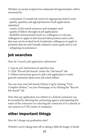Whether an award recipient has exhausted all opportunities will be measured by:

- a minimum 12 month job search for appropriate federal work - quality, quantity, and appropriateness of job applications submitted

- variety of job search resources and strategies used

- quality of follow-through on job applications

- flexibility demonstrated (such as a willingness to relocate, willingness to apply to jobs beyond ideal position and to jobs that may not be at ideal level of authority, willingness to apply to positions that are only broadly related to career goals and so on) - mitigating circumstances

#### job searches

*How do I record a job application submission?* 

1. Log on, per instructions in question one.

2. Click "Record Job Search" under the "Job Search" tab.

3. Follow instructions given to add a job application or make general comments about your job search efforts.

You can view your Job Search History Log by clicking "View Complete History" on your Homepage or by clicking the "Record Job Search" tab.

Note that any application you submit to a federal contractor can be recorded by selecting the contracting agency and inputting the name of the contractor (or selecting the contractor if it is already in our system) as CTR: [name of company].

#### other important things

*How do I change my graduation date?*

Whether you're taking time off or taking a little bit longer to finish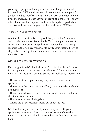your degree program, for a graduation date change, you must first send in a SAR and documentation of the new (anticipated) graduation date. Verification can take the form of a letter or email from the award recipient's advisor or registrar, a transcript, or any other document that explicitly indicates the updated graduation date. We will then update your service deadline on NSEPnet.

#### *What is a letter of certification?*

A letter of certification is your proof that you had a Boren award and have hiring authorities available. You can request a letter of certification to prove in an application that you have the hiring authorities that you say you do, or to verify your excepted service eligibility if a hiring official or a human resources representative requests proof.

#### *How do I get a letter of certification?*

Once logged into NSEPnet, click the "Certification Letter" button in the top menu bar to request a certification. When requesting a Letter of Certification, you must provide the following information:

- The name of the department/agency/office to which you are applying

- The name of the contact at that office (to whom the letter should be addressed)

- The mailing address to which the letter could be sent (include a street and street number)

- The announcement closing date

- Where the award recipient found out about the job.

NSEP will send you the letter by email to upload with your application or to forward to your point of contact. Generally, Letters of Certification should be completed within three business days.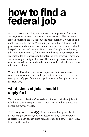### how to find a federal job

All that is good and nice, but how are you supposed to find a job, anyway? Your success in a national competition will serve as an asset in scoring a federal job, but the responsibility is yours to find qualifying employment. When applying for jobs, make sure to be professional and concise. Every email or letter that you send should be spell checked and re-read. Your potential employer will meet, talk to, or receive emails from many applicants. If your responses are misspelled or unfocused, the potential employer will move on, and your opportunity will be lost. The first impression you create, whether in writing or on the telephone, should make them want to follow up with you.

While NSEP can't set you up with a job, we do provide career advice and resources that can help you in your search. Here are a few tips to help you direct your applications to the right places in the right way.

#### what kinds of jobs should I apply for?

You can refer to Section One to determine what kinds of jobs will fulfill your service requirement. As for a job search in the federal government, you should:

1) Know your GS level(s). This is the standard payscale of the federal government, and it is determined by your previous experience. Each agency classifies, appoints, and pays its employees based on this system.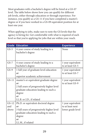Most graduates with a bachelor's degree will be hired at a GS-07 level. The table below shows how you can qualify for different job levels, either through education or through experience. For instance, you qualify as a GS-11 if you have completed a master's degree or if you have worked in a GS-09 equivalent position for at least one year.

When applying to jobs, make sure to note the GS levels that the agency is hiring for. Get comfortable with what is required of each level so that you're applying for jobs that are within your reach.

| <b>Grade</b>            | <b>Education</b>                                                                                                                                                                                | <b>Experience</b>                                          |
|-------------------------|-------------------------------------------------------------------------------------------------------------------------------------------------------------------------------------------------|------------------------------------------------------------|
| $GS-5$                  | 4-year course of study leading to a<br>bachelor's degree                                                                                                                                        | None                                                       |
| $GS-7$                  | 4-year course of study leading to a<br>bachelor's degree                                                                                                                                        | 1 year equivalent<br>to at least GS-5                      |
| $GS-9$                  | 1 full year of graduate level education<br>or<br>superior academic achievement                                                                                                                  | 1 year equivalent<br>to at least GS-7                      |
| $GS-11$                 | master's or equivalent graduate degree<br>$\alpha r$<br>2 full years of progressively higher level<br>graduate education leading to such a<br>degree<br>$\alpha r$<br>LL.B. or J.D., if related | 1 year equivalent<br>to at least GS-9                      |
| $GS-12$<br>and<br>above | Ph.D. or equivalent doctoral degree<br>or<br>3 full years of progressively higher level<br>graduate education leading to such a<br>degree<br>or<br>LL.M., if related                            | 1 year equivalent<br>to at least next<br>lower grade level |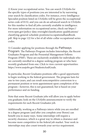2) Know your occupational series. You can search USAJobs for the specific types of positions you are interested in by narrowing your search by classification codes. For instance, every Intelligence Specialist position listed on USAJobs will be given the occuaptional series code of 0132, and you can do an advanced search in USAJobs for this number to find all jobs currently available in intelligence. For more information on occupational series, check out https:// www.opm.gov/policy-data-oversight/classification-qualifications/ classifying-general-schedule-positions/occupationalhandbook. pdf. Skip to page 122 for a list of all white-collar occupational series codes.

3) Consider applying for positions through the Pathways Program. The Pathways Program includes Internships, the Recent Graduates Program and the Presential Management Fellows Program (PMF). These are exclusively available for individuals who are currently enrolled in a degree-seeking program or who have recently graduated from one. Click to view current opportunities: https://www.usajobs.gov/StudentsAndGrads.

In particular, Recent Graduates positions offer a good opportunity to begin working in the federal government. The program lasts for one to two years, and can result noncompetitive conversion to a permanent position or term appointment upon completion of the program—however, this is not guaranteed, but is based on your performance and on funding.

Note that some Recent Graduate jobs will allow you to apply before you graduate; look on the USAJobs announcement to verify the requirements for each Recent Graduates job.

Additionally, working as a Pathways intern while you are enrolled in a degree program (and after you complete your Boren) can benefit you in many ways. Some internships will require a security clearance, which is a great way to obtain a clearance and become more competitive in the federal job market. Your work in internships may also count towards your service requirement.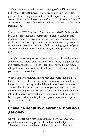4) If you are a Boren Fellow, take advantage of the Diplomacy Fellows Program. Boren Fellows are able to skip the written portion of the Foreign Service Exam with Department of State and go straight to the Oral Assessment. Check out this website (https:// careers.state.gov/work/fellowships/diplomacy-fellows) to find more information.

5) Are you a STEM student? Check out the SMART Scholarship Program through the Department of Defense. Through this program, you can receive a full scholarship for an undergraduate, graduate or doctoral degree in the sciences and receive guaranteed employment after graduation in a DoD qualifying agency of your selection. Find out more about the program at https://smart.asee. org/.

6) Apply to a variety of jobs! Aim high, but additionally try for some jobs you know you're qualified for. Also, try to apply for jobs in a variety of agencies. It doesn't take that long to fill out federal job applications, and you might find that you really like a job that you thought you wouldn't.

What if you are absolutely in love with one specific job path (say, Foreign Service Officer or Intelligence Specialist) and want to focus all of your energy on that job application? Well, you have a reasonable chance at success because you are smart and have international experience! But you should definitely apply to other jobs just to have a safety net, and to show your good-faith effort to NSEP if you end up wanting to use a position from a non-priority agency as your service.

#### I have no security clearance. how do I get one?

Only the government may issue you a security clearance, and generally, you may only get one if you have a federal job or are offered one. If you are offered a job that requires a clearance, you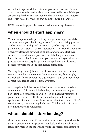will submit paperwork that lists your past residences and, in some cases, contains information about your personal history. While you are waiting for the clearance, you may be able to work on material and issues related to your job that do not require a clearance.

NSEP cannot help you obtain or expedite a security clearance.

#### when should I start applying?

We encourage you to begin looking for a position approximately one year before you plan to begin work. The federal hiring process can be time-consuming and bureaucratic, so be prepared to be patient and persistent. If you're interested in a position that requires a security clearance beyond Secret, it's a good idea to start even earlier, as those clearance processes can take longer than a year. Please be aware that in most cases you cannot undergo a clearance process while overseas; this particularly applies to the clearance process for positions in the intelligence community.

You may begin your job search while overseas, but use common sense about whom you contact. In most countries, for example, it's probably fine to contact the U.S. embassy—but, you should not contact intelligence agencies from overseas.

Also keep in mind that some federal agencies won't want to hire someone for a full-time job before they complete their degree. For example, if you apply to a GS-07 job and haven't yet finished your bachelor's degree, the hiring official might not consider your application. If you need more information about a certain position's requirements, try contacting the hiring official or point of contact listed in the job announcement.

#### where should i start looking?

Good news: you may fulfill the service requirement by working for the U.S. government in a position that deals with national security issues anywhere in the the world! While the variety of federal jobs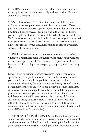in the DC area tends to be much wider than elsewhere, there are many options available internationally and nationwide. Here are some places to start:

1) NSEP Exclusive Jobs. Our office sends out jobs exclusive to Boren award recipients over email about once a week. These positions are ones we've set up with agencies in order to circumvent traditional hiring processes (using hiring authorities) and allow you all to get your foot in the door of the federal government faster. You'll be automatically enrolled in this listserv once you've returned from your Boren studies abroad. You can set up NSEPnet so that it only sends emails to your NSEPnet account, or also to a personal address that you've specified.

2) USAJobs. We encourage you to continue your job search at USAJobs, a searchable database that includes many open positions in the federal government. You can search for jobs by location, keywords, GS level, department/agency, and pretty much anything else.

Note: If a job on www.usajobs.gov requires "status," you cannot apply through the public announcement on the website. Instead, you should contact the hiring official as soon as possible to explain your eligibility for non-competitive hiring. "Status" means government tenure, so unless you are already a permanent federal employee, you are not eligible to apply for this job through normal procedures. However, you can contact the hiring official (who is different from the HR person) to explain your qualifications and special hiring authority. How it works in this case is that if they do choose to hire you, they can opt not to fill the public announcement and instead create a new announcement to be filled under NDAA'13 or Schedule A(r).

3) Partnership for Public Service. The federal hiring system can be overwhelming at first, so we also recommend that you check out the resources available from the Partnership for Public Service (www.gogovernment.org). Partnership is a non-profit focused on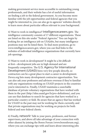making government service more accessible to outstanding young professionals, and their website has a lot of useful information on finding a job in the federal government. As you become more familiar with the job opportunities and federal agencies that you might be interested in, you can also go to agencies' websites directly to learn more about particular offices relevant to your background.

4) Want to work in intelligence? Intelligencecareers.gov. The intelligence community consists of 17 different organizations. These are listed on this site under "Federal Agencies." You can begin by looking for an intelligence job on USAJobs, but many intelligence positions may not be listed there. To find more positions, go to www.intelligencecareers.gov, where you can find links to the websites of individual intelligence organizations that currently have job openings.

5) Want to work in development? It might be a bit difficult at first—development jobs are in high demand and are frequently competitive. The U.S. Agency for International Development (USAID) hires very few people directly, so contractors can be a great place to start a career in development. Devex.org lists many development contractor opportunities. You can also ask your professors and advisors overseas if they're familiar with any organizations working on USAID projects in the countries you're interested in. Finally, USAID maintains a searchable database of private voluntary organizations that have worked with them in the past (http://idea.usaid.gov/ls/pvo-definitions), and you can use that database to search for agencies that have worked in a particular country or field. Be aware that an agency that has worked for USAID in the past may not be working for them currently, and that private organizations may be working on projects for both federal and non-federal clients.

6) Finally, network! Talk to your peers, professors, and former supervisors, and above all take advantage of your connection with other alumni by joining the Boren Forum (www.borenforum.org), where you can exchange tips with and learn about interesting jobs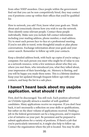from other NSEP awardees. Once people within the government find out that you can be non-competitively hired, they may contact you if positions come up within their offices that you'd be qualified for.

How to network, you ask? First, know what your goals are. Think about and consciously choose how you wish to use the network. Then identify some relevant people. Contact these people individually. Make sure you include full contact information including your mailing address, phone number, e-mail address. Try to meet each person face-to-face at a professional meeting. If you're not able to travel, write thoughtful emails or plan phone conversations. Exchange information about your goals and your career search. Remember to follow up with your contacts.

Keep a detailed address book, with back-up copies if you're using a computer. For each person you meet who might be of value to you as a network resource, write a few sentences about who they are, where you met them, who introduced you, what they talked about, your impression of their knowledge, etc. Memory is fleeting, and you will be happy you made these notes. This is a lifetime database. Keep your list updated through frequent follow-ups with your contacts, and keep the list in a safe place.

#### I haven't heard back about my usajobs application. what should I do?

First, don't be discouraged. You still rock. Each position advertised on USAJobs typically attracts a number of well-qualified candidates. Many applications receive no response. If you don't hear back, it isn't necessarily a reflection on your skills or qualifications, but rather on the sheer volume of applications received. Finding a job in the federal government can be a long process, and it requires a lot of initiative on your part. Be persistent and be prepared to submit applications for a variety of positions. If there's a job that you're particularly interested in, it might also help to follow up. Contact the organization where the job is located. You may be able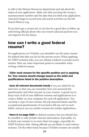to talk to the Human Resources department and ask about the status of your application. Make sure that you keep the vacancy announcement number and the date that you filed your application. And don't forget to record your job search activities on the Job Search History Log.

If you don't get a certain job, it can also be a good idea to follow up with hiring officials about why you weren't selected and how you can improve for the future.

#### how can I write a good federal resume?

For applications on USAJobs, you shouldn't use the same resume for federal jobs that you do for the private sector. When applying for NSEP exclusive jobs, you can submit a federal or private sector resume. Here are some important points to remember when writing a federal resume:

#### - Tailor each resume for the specific position you're applying for. Your resume should change based on the skills and qualifications listed in the position description.

- have all relevant documents handy if you are asked for an interview so that you can remember how you answered the questionnaire and what you put on your resume. A good way to keep track of all of your different resumes and applications is to create a folder on your computer for each job application. You can keep a copy of your resume, the job announcement, and the occupational questionnaire (if you had to fill one out) in each folder, and you can use similar resumes for similar applications.

- there is no page limit on federal resumes, but you should also be mindful to only include relevant information. If possible, try to limit your resume to no more than two pages, especially for NSEP Exclusive Jobs. Hiring officials are not likely to read verbose resumes. On the other hand, because USAJobs resumes are usually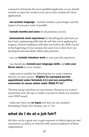scanned to determine the most qualified applicants, so you should include as many key words as you can in your resumes for these applications.

- **use precise language**—include numbers, percentages, and the impact of your past work, if possible.

- include months and years for all positions you list.

- **demonstrate work experience** by describing the jobs that you have had, emphasizing skills that the job that you're applying for requires. Federal employers will often not look at the skills you list at the beginning of your resume, but want you to show how you developed and used skills within past positions.

- you can **include volunteer work** in your past job experience.

- you should also include your language skills and note your Boren award on your resume.

- make sure to include the following line (or some variation thereof) in your resume: "Eligible for exempted service appointment under Schedule A (r) and non-competitive conversion to career status under NDAA FY 13."

This line can go anywhere in your resume. However, try to put it somewhere near the top, or under a section in which you mention your NSEP award.

- make sure there are **no typos** and that you use standard formatting (Times New Roman, size 11-13).

#### what do I do at a job fair?

Job fairs can be a great way to gain exposure to federal agencies and contractors, as well as to network with current employees of those organizations.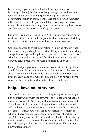Before you go, you should understand that representatives of federal agencies at job fairs most likely can't get you an interview for a job that is posted on USAJobs. While private sector organizations (such as contractors) could ask you for an interview if they meet you and like you at a job fair, hiring representatives using USAJobs can only arrange interviews with the applicants who are identified as the most qualified by the system.

However, if you are interested in an NSEP Exclusive position or for working with a contractor, hiring officials have a lot more flexibility in inviting you for an interview or looking at your resume.

Use this opportunity to get information. Ask hiring officials what they look for in good applicants - what skills you should be working on, application tips, and anything else you are curious about. Also ask when they will be hiring and for what kinds of positions. That way, you can be prepared for when positions do open up.

Finally, don't just give your resume and ask what the hiring official can do for you. Try to be unique and make sure to ask the person about their job and what they do - this will help you to stand out from the crowd and will make them more likely to remember you. Above all, be respectful and mindful of the official's time.

#### help, I have an interview.

You should check out the resources at http://gogovernment.org/ for tips on interviewing with the government. You can also schedule a mock interview with NSEP, if you'd like, to shake those nerves off. Try talking with friends and colleagues, too, who know you well and can help you prepare answers to questions like "what are your best traits?" Think about what kinds of questions you might be asked and have some ideas ready. Minimize vocal fillers like "um" and "like," and go forth with the confidence that this place actually needs the skills that you have. Although it can be hard to feel like you're bragging, realize that you have to talk yourself up to show how valuable you are!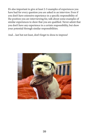It's also important to give at least 2-3 examples of experiences you have had for every question you are asked in an interview. Even if you don't have extensive experience in a specific responsibility of the position you are interviewing for, talk about some examples of similar experiences to show that you are qualified. Never admit that you don't have any experience in a certain responsibility, but show your potential through similar responsibilities.

And…last but not least, don't forget to dress to impress!

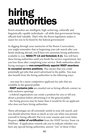### hiring authorities

Boren awardees are intelligent, high-achieving, culturally and linguistically capable individuals—all skills that government hiring officials find valuable. That's why the Boren legislation makes it easier for you to be hired by the federal government!

In digging through your memories of the Boren Convocation, you might remember that in beginning your job search after you finish studying abroad, you'll have two awesome hiring authorities available to you: NDAA FY 13 *and* Schedule A (r). You will have these hiring authorities until you finish the service requirement, but you lose them after completing your service. Both authorities allow hiring managers to non-competitively appoint NSEP awardees to excepted service positions. This means that you could potentially get jobs that aren't advertised to the public. You may also benefit from the hiring authorities in the following ways:

 - you may be a more competitive applicant for jobs that are available to the general public

- *NSEP exclusive jobs* are emailed out as hiring officials contact us with exclusive openings

- a federal organization can create a position for you or tell you about a position before advertising it to the general public

- the hiring process may be faster than it would be for an applicant who does not have hiring authorities

These advantages are all extremely useful in your job search, and you should advertise them as much as you can when you present yourself to hiring officials! Put it in your resume and cover letter. Request a *letter of certification* from the NSEP Service Team via NSEPnet. If application wizards ask you to indicate whether you have any special hiring authorities, answer "yes" to these if they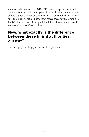mention Schedule A (r) or NDAA'13. Even on applications that do not specifically ask about your hiring authorities, you can (and should) attach a Letter of Certification to your application to make sure that hiring officials know you possess these superpowers! See the NSEPnet section of this guidebook for information on how to request a Letter of Certification.

#### Now, what exactly is the difference between these hiring authorities, anyway?

The next page can help you answer this question!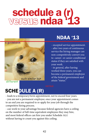### schedule a (r) versus ndaa '13



different

#### **NDAA '13**

- excepted service appointment. - after two years of continuous service the hiring manager can non-competitively convert you to career- or career-conditional status if they are satisfied with your work.

- in general, after having worked three years, you can become a permanent employee of the federal government and attain "status"

### SCHEDULE A (R)

- leads to a temporary/term appointment, not to exceed four years. - you are not a permanent employee; once your appointment comes to an end you are required to re-apply for your job through the competitive hiring process.

- can work to your advantage because federal agencies have a ceiling on the number of full-time equivalent employees they may hire, and most federal offices can hire you under Schedule A(r) without having to count you against this ceiling.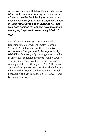As dogs can attest, both NDAA'13 and Schedule A (r) are useful for circumventing the bureaucracies of getting hired by the federal government. As for how the two hiring authorities differ, the main point is that *if you're hired under Schedule A(r) and your boss decides to keep you as a permanent employee, they can do so by using NDAA'13.* 

#### *Yay!*

NDAA' 13 also allows you to automatically transition into a permanent employee, while Schedule A (r) does not. For this reason, *we recommend that you ask to be appointed by NDAA'13* – however, only some agencies have the ability to hire someone directly through NDAA'13. The next page contains a list of which agencies can appoint directly through NDAA'13. If you are appointed to a government position which does not fall under this list, you can be appointed through Schedule A and ask to transition to NDAA'13 after two years of service.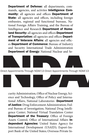Department of Defense: all departments, commands, agencies, and activites Intelligence Community: all agencies and offices Department of State: all agencies and offices, including foreign embassies, regional and functional bureaus, National Foreign Affairs Training, and the Bureau of Intelligence and Research Department of Homeland Security: all agencies and offices Department of Transportation: all agencies and offices Department of Veterans Affairs: all agencies and offices Department of Commerce: Bureau of Industry and Security International Trade Administration **Department of Energy:** National Nuclear and Se-



curity Administration, Office of Nuclear Energy, Science and Technology, Office of Policy and International Affairs, National Laboratories Department of Justice: Drug Enforcement Administration; Federal Bureau of Investigation; National Drug Intelligence Center; National Virtual Translation Center Department of the Treasury: Office of Foreign Assets Control; Office of International Affairs Independent Agencies: United States Agency for International Development (USAID); Export-Import Bank of the United States; Overseas Private In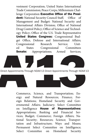vestment Corporation; United States International Trade Commission; Peace Corps; Millennium Challenge Corporation Executive Office of the President: National Security Council Staff; Office of Management and Budget: National Security and International Affairs Division; Office of National Drug Control Policy; Office of Science and Technology Policy; Office of the U.S. Trade Representative United States Congress: Congressional Budget Office, Defense and International Affairs; Congressional Research Service; United States Congressional Committees **Senate:** Appropriations; Armed Services;



Direct Appointments Through NDAA'13 Direct Appointments Through NDAA'13

Commerce, Science, and Transportation; Energy and Natural Resources; Finance; Foreign Relations; Homeland Security and Governmental Affairs; Judiciary; Select Committee on Intelligence House of Representatives: Appropriations; Banking and Financial Services; Budget; Commerce; Foreign Affairs; National Security; Resources; Science; Transportation and Infrastructure; Ways and Means; Permanent Select Committee on Intelligence; Select Committee on Homeland Security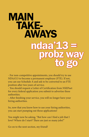### MAIN TAKE- AWAYS ndaa'13 = probz wa to go

- For non-competitive appointments, you should try to use NDAA'13 to become a permanent employee (FTE). If not, you can use Schedule A and ask to be converted to an FTE position after two years of service.

- You should request a Letter of Certification from NSEPnet for every federal application you submit to advertise these authorities.

- After finishing your service, you will no longer have your hiring authorities.

So, now that you know how to use your hiring authorities, you can start pumping out those applications!

You might now be asking, "But how can I find a job that I love? Where do I start? There are just so many jobs!"

Go on to the next section, my friend!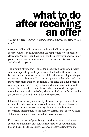## what to do after receiving an offer

You got a federal job, yay! We knew you would, you prodigy. What's next?

First, you will usually receive a conditional offer from your agency, which is contingent upon the completion of your security clearance. You will then have to fill out the necessary paperwork for your clearance (make sure you turn these documents in on time!) and after that…you wait.

The amount of time that it takes for a security clearance to process can vary depending on the person and the level of the clearance. Be patient, and be aware of the possibility that something might go wrong in your clearance. You can still apply for other jobs, and you may accept more than one conditional job offer at a time. Proceed carefully when you're trying to decide whether this is appropriate or not. There have been cases before when an awardee accepted more than one conditional offer, which resulted in confusion on the government's side and slowed down the process.

Fill out all forms for your security clearance in a precise and timely manner in order to minimize complications with your clearance. The most common reason security clearances are delayed is incomplete information on the security forms. Make sure you fill in all blanks, and enter N/A if you don't have an answer.

If you keep records of your foreign travel, where you lived while abroad, and the name and contact information of your landlord, that will expedite the security clearance process. Also, if you meet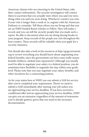American citizens who are returning to the United States, take their contact information. The security investigators will contact them to ascertain that you actually were where you said you were, doing what you said you were doing. Whichever country you visit, if your visit is longer than a week or so, register with the American Embassy or consulate. Tell them where you are living and that you are an NSEP-funded Boren Scholar or Fellow. They will make a record, and you can tell the security people that you made such a report. Be able to document what you are doing during breaks in your program. Keep records of the people you visit throughout the host country. These records will be valuable when you apply for a security clearance.

You should also take a look at the resources at http://gogovernment. org to review everything you should know about negotiating your federal benefits, since the government can have some really snazzy benefits (hellooo, student loan repayment)! Although you usually won't be able to negotiate your salary in a federal position, you do sometimes have flexibility to negotiate the step within your grade level. Please note that you may negotiate your salary, benefits, and other incentives for a contracting position.

As for your status here at NSEP, you can submit a SAR for service after you've completed your requirement. There's no need to submit a SAR immediately after starting your job unless you are approaching your service deadline. If you have received a conditional offer and are approaching your service deadline, NSEP can give you an extension (regardless of the amount of extensions you've already gotten), given that you send us the necessary documentation.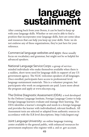# language<br>sustainment

After coming back from your Boren, it can be hard to keep up with your language skills. Whether or not you're able to find a position that incorporates your language skills, here are some ideas and resources that can help you keep up your skillz. Note: we do not endorse any of these organizations, they're just here for your reference.

Commercial language websites and apps: these usually focus on vocabulary and grammar, but might not be so helpful for advanced speakers.

National Language Service Corps: a group of serviceminded individuals who make themselves available when there is a sudden, short-term need for language skills in support of any US government agency. The NLSC welcomes speakers of all languages. Once enrolled, participants have access to professional-level language sustainment materials. This is a volunteer program, but participants who work on assignments are paid. Learn more about the program and apply at www.nlscorps.org.

The Online Diagnostic Assessment (ODA): a tool developed by the Defense Language Institute, Foreign Language Center to help foreign language learners evaluate and manage their learning. The ODA identifies a learner's strengths and needs in a foreign language and provides the learner with individualized, relevant feedback. All Assessment texts are selected or adapted from authentic sources in accordance with the ILR level descriptions. http://oda.lingnet.org/

Joint Language University: an online language training center available to the general public, with enhanced resources for government employees who register with a .mil or .gov account.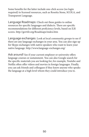Some benefits for the latter include one-click access (no login required) to licensed resources, such as Rosetta Stone, SCOLA, and Transparent Language.

Language Roadmaps: Check out these guides to online resources for specific languages and dialects. There are specific recommendations for different proficiency levels, based on ILR scores. http://govtilr.org/Roadmaps/index.htm

Language exchanges: Look at local community groups to see if there are any language exchanges in your area. You can also sign up for Skype exchanges with native speakers who want to learn your native language. http://www.language-exchanges.org/

Ask around! See if your current employer or university offers language courses or sustainment. You can also Google search for the specific materials you are looking for; for example, Youtube and Netflix often offer videos and movies in foreign languages. Finally, you can ask friends and colleagues if they know anyone who speaks the language at a high level whom they could introduce you to.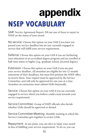### appendix **NSEP VOCABULARY**

SAR: Service Agreement Report. Fill out one of these to report to NSEP on the status of your award.

No service: Choose this option on your SAR if you have not passed your service deadline but are not currently engaged in service that will fulfill your service requirement.

Deferral: Choose this option on your SAR if you are furthering your education in an accredited degree program and are enrolled at half-time status or higher (e.g., graduate school, doctoral degree).

Extension: Choose this option on your SAR if you are past your service deadline. All awardees are eligible for two 12-month extensions of their deadlines, but must first petition the NSEP office to receive them. Your request must be approved by the Service Committee, and will only be approved for one year at a time. Awardees on extensions must submit SARs biannually.

Service: Choose this option on your SAR if you are currently engaged in service which you believe could count towards your service requirement.

Service Committee: Group of NSEP officials who decide whether SARs should be approved or denied.

Service Committee Meeting: Monthly meeting in which the Service Committee gets together to review SARs.

Repayment: At any point, you can elect to repay your award in lieu of fulfilling your service requirement. To do so, you can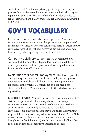contact the NSEP staff at nsep@nsep.gov to begin the repayment process. Interest is charged one time (when the individual begins repayment) at a rate of 1%. Therefore, if an awardee decided to repay their award of \$20,000, their total repayment amount would be \$20,200.

### **GOV'T VOCABULARY**

Career and career-conditional employee: Permanent federal career status is automatically gained upon completion of the mandatory three-year career-conditional period. Career tenure employees have a better shot at surviving downsizing and often have an edge when applying for other federal jobs.

Competitive civil service: Most federal government civil service jobs fall under this category. Positions are filled through a fair, open and merit-based process, unless excepted by statue, Executive Order or OPM action.

Declaration for Federal Employment: This form—provided during the application process or before employment begins documents a candidate's fulfillment of the two requirements for federal employment: US citizenship and, for men born after December 31, 1959, compliance with US Selective Service registration.

Excepted service: Positions not covered by certain competitive civil service personnel rules and regulations. For example, employees who serve at the discretion of the current presidential administration—commonly referred to as "Schedule C" employees—are excepted because they have policy-determining responsibilities or serve as key administration officials. Some NSEP awardees may be hired as excepted service employees if they are brought on under Schedule A(r) or NDAA '13, which allows them to be hired without a competitive application process.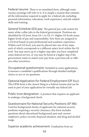Federal resume: There is no mandated form, although some vacancy postings will refer to it. It is simply a resume that contains all the information required to apply for a federal job, including personal information, education, work experience, and job-related skills and training.

General Schedule (GS) pay: The general pay scale system for many white-collar jobs in the federal government. Positions are identified by GS level, from GS-1 to GS-15. Higher GS levels mean higher levels of pay and responsibility. New hires are assigned to a GS level based on past professional and academic experience. Within each GS level, you may be placed into one of ten steps, each of which corresponds to a different salary level within the GS level. You may move up to a higher step after you have completed some federal service, or you may be hired at a higher step if the government wants to match your pay from a previous job or offer you other incentives.

Occupational questionnaire: Included in some applications, it assesses a candidate's qualifications through detailed multiple choice or yes-or-no questions.

Optional Application for Federal Employment (OF 612): This OPM form is the closest thing to a federal resume and can be used as part of your application for virtually any federal job.

Public trust designation: A position that requires an applicant to undergo a background check.

Questionnaire for National Security Positions (SF-86): Used for background checks of applicants for national security positions requiring a security clearance, this form includes questions about educational background, past and current employers, police records, financial situation, and drug and alcohol usage.

Superior academic achievement: Graduation from an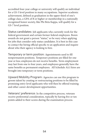accredited four-year college or university will qualify an individual for a GS-5 level position in many occupations. Superior academic achievement, defined as graduation in the upper third of one's college class, a GPA of B or higher or membership in a nationally recognized honor society, like Phi Beta Kappa, will qualify for a GS-7 level position.

Status candidates: Job applicants who currently work for the federal government and certain former federal employees. Boren awards do not grant a person "status," so be wary when applying for jobs that consider only status candidates. It is best in this case to contact the hiring official specific to an application and inquire about who their agency is looking to hire.

Temporary or term position: Appointments used to fill nonpermanent positions. Temporary positions are filled for one year or less; employees do not receive benefits. Term employment may last from one to four years, and employees generally have the same benefits as permanent employees. All Schedule A(r) hires are brought into temporary or term positions.

Upward Mobility Program: Agencies can use this program to groom talent by creating or restructuring positions to be filled by promising entry-level applicants who will then be offered training and other career-development opportunities.

Veterans' preference: In the competitive process, veterans receive preferential consideration, typically by having five or ten points added to their scores during the examination process.